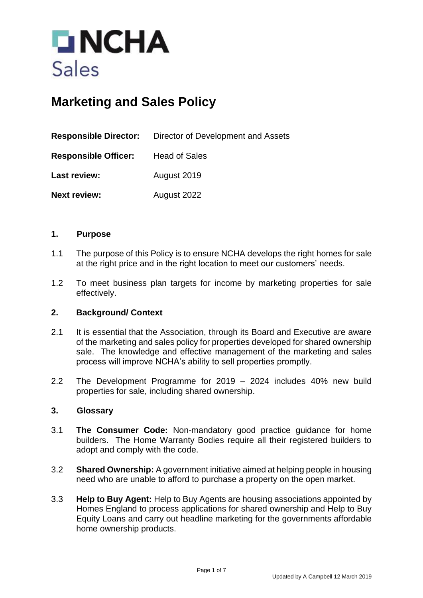

# **Marketing and Sales Policy**

|                             | <b>Responsible Director:</b> Director of Development and Assets |  |
|-----------------------------|-----------------------------------------------------------------|--|
| <b>Responsible Officer:</b> | <b>Head of Sales</b>                                            |  |
| Last review:                | August 2019                                                     |  |
| <b>Next review:</b>         | August 2022                                                     |  |

#### **1. Purpose**

- 1.1 The purpose of this Policy is to ensure NCHA develops the right homes for sale at the right price and in the right location to meet our customers' needs.
- 1.2 To meet business plan targets for income by marketing properties for sale effectively.

#### **2. Background/ Context**

- 2.1 It is essential that the Association, through its Board and Executive are aware of the marketing and sales policy for properties developed for shared ownership sale. The knowledge and effective management of the marketing and sales process will improve NCHA's ability to sell properties promptly.
- 2.2 The Development Programme for 2019 2024 includes 40% new build properties for sale, including shared ownership.

#### **3. Glossary**

- 3.1 **The Consumer Code:** Non-mandatory good practice guidance for home builders. The Home Warranty Bodies require all their registered builders to adopt and comply with the code.
- 3.2 **Shared Ownership:** A government initiative aimed at helping people in housing need who are unable to afford to purchase a property on the open market.
- 3.3 **Help to Buy Agent:** Help to Buy Agents are housing associations appointed by Homes England to process applications for shared ownership and Help to Buy Equity Loans and carry out headline marketing for the governments affordable home ownership products.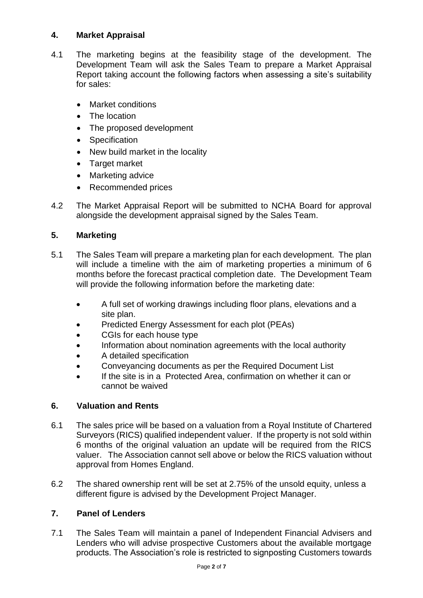# **4. Market Appraisal**

- 4.1 The marketing begins at the feasibility stage of the development. The Development Team will ask the Sales Team to prepare a Market Appraisal Report taking account the following factors when assessing a site's suitability for sales:
	- Market conditions
	- The location
	- The proposed development
	- Specification
	- New build market in the locality
	- Target market
	- Marketing advice
	- Recommended prices
- 4.2 The Market Appraisal Report will be submitted to NCHA Board for approval alongside the development appraisal signed by the Sales Team.

# **5. Marketing**

- 5.1 The Sales Team will prepare a marketing plan for each development. The plan will include a timeline with the aim of marketing properties a minimum of 6 months before the forecast practical completion date. The Development Team will provide the following information before the marketing date:
	- A full set of working drawings including floor plans, elevations and a site plan.
	- Predicted Energy Assessment for each plot (PEAs)
	- CGIs for each house type
	- Information about nomination agreements with the local authority
	- A detailed specification
	- Conveyancing documents as per the Required Document List
	- If the site is in a Protected Area, confirmation on whether it can or cannot be waived

# **6. Valuation and Rents**

- 6.1 The sales price will be based on a valuation from a Royal Institute of Chartered Surveyors (RICS) qualified independent valuer. If the property is not sold within 6 months of the original valuation an update will be required from the RICS valuer. The Association cannot sell above or below the RICS valuation without approval from Homes England.
- 6.2 The shared ownership rent will be set at 2.75% of the unsold equity, unless a different figure is advised by the Development Project Manager.

# **7. Panel of Lenders**

7.1 The Sales Team will maintain a panel of Independent Financial Advisers and Lenders who will advise prospective Customers about the available mortgage products. The Association's role is restricted to signposting Customers towards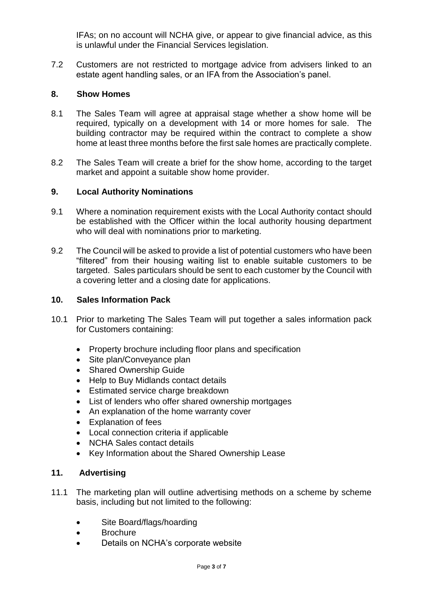IFAs; on no account will NCHA give, or appear to give financial advice, as this is unlawful under the Financial Services legislation.

7.2 Customers are not restricted to mortgage advice from advisers linked to an estate agent handling sales, or an IFA from the Association's panel.

## **8. Show Homes**

- 8.1 The Sales Team will agree at appraisal stage whether a show home will be required, typically on a development with 14 or more homes for sale. The building contractor may be required within the contract to complete a show home at least three months before the first sale homes are practically complete.
- 8.2 The Sales Team will create a brief for the show home, according to the target market and appoint a suitable show home provider.

#### **9. Local Authority Nominations**

- 9.1 Where a nomination requirement exists with the Local Authority contact should be established with the Officer within the local authority housing department who will deal with nominations prior to marketing.
- 9.2 The Council will be asked to provide a list of potential customers who have been "filtered" from their housing waiting list to enable suitable customers to be targeted. Sales particulars should be sent to each customer by the Council with a covering letter and a closing date for applications.

## **10. Sales Information Pack**

- 10.1 Prior to marketing The Sales Team will put together a sales information pack for Customers containing:
	- Property brochure including floor plans and specification
	- Site plan/Conveyance plan
	- Shared Ownership Guide
	- Help to Buy Midlands contact details
	- Estimated service charge breakdown
	- List of lenders who offer shared ownership mortgages
	- An explanation of the home warranty cover
	- Explanation of fees
	- Local connection criteria if applicable
	- NCHA Sales contact details
	- Key Information about the Shared Ownership Lease

## **11. Advertising**

- 11.1 The marketing plan will outline advertising methods on a scheme by scheme basis, including but not limited to the following:
	- Site Board/flags/hoarding
	- Brochure
	- Details on NCHA's corporate website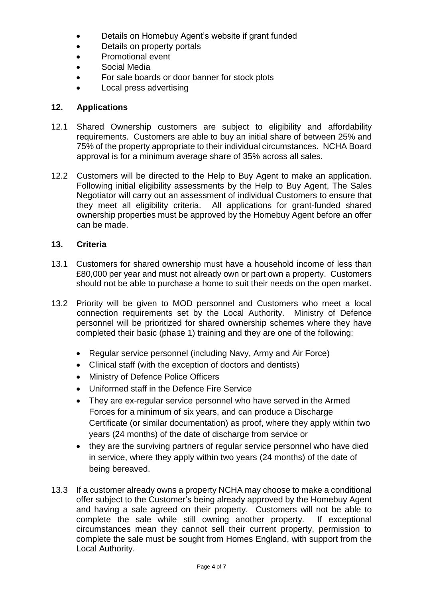- Details on Homebuy Agent's website if grant funded
- Details on property portals
- Promotional event
- Social Media
- For sale boards or door banner for stock plots
- Local press advertising

# **12. Applications**

- 12.1 Shared Ownership customers are subject to eligibility and affordability requirements. Customers are able to buy an initial share of between 25% and 75% of the property appropriate to their individual circumstances. NCHA Board approval is for a minimum average share of 35% across all sales.
- 12.2 Customers will be directed to the Help to Buy Agent to make an application. Following initial eligibility assessments by the Help to Buy Agent, The Sales Negotiator will carry out an assessment of individual Customers to ensure that they meet all eligibility criteria. All applications for grant-funded shared ownership properties must be approved by the Homebuy Agent before an offer can be made.

# **13. Criteria**

- 13.1 Customers for shared ownership must have a household income of less than £80,000 per year and must not already own or part own a property. Customers should not be able to purchase a home to suit their needs on the open market.
- 13.2 Priority will be given to MOD personnel and Customers who meet a local connection requirements set by the Local Authority. Ministry of Defence personnel will be prioritized for shared ownership schemes where they have completed their basic (phase 1) training and they are one of the following:
	- Regular service personnel (including Navy, Army and Air Force)
	- Clinical staff (with the exception of doctors and dentists)
	- Ministry of Defence Police Officers
	- Uniformed staff in the Defence Fire Service
	- They are ex-regular service personnel who have served in the Armed Forces for a minimum of six years, and can produce a Discharge Certificate (or similar documentation) as proof, where they apply within two years (24 months) of the date of discharge from service or
	- they are the surviving partners of regular service personnel who have died in service, where they apply within two years (24 months) of the date of being bereaved.
- 13.3 If a customer already owns a property NCHA may choose to make a conditional offer subject to the Customer's being already approved by the Homebuy Agent and having a sale agreed on their property. Customers will not be able to complete the sale while still owning another property. If exceptional circumstances mean they cannot sell their current property, permission to complete the sale must be sought from Homes England, with support from the Local Authority.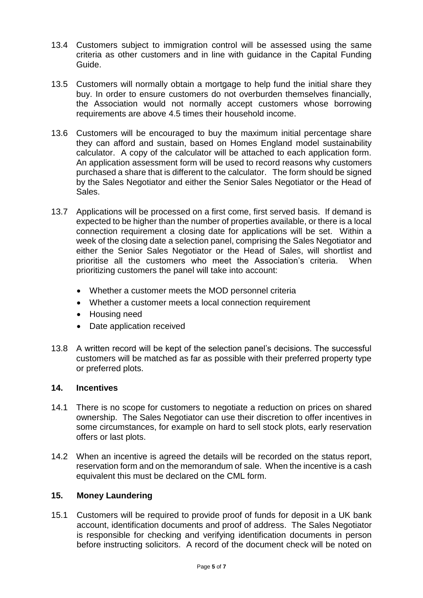- 13.4 Customers subject to immigration control will be assessed using the same criteria as other customers and in line with guidance in the Capital Funding Guide.
- 13.5 Customers will normally obtain a mortgage to help fund the initial share they buy. In order to ensure customers do not overburden themselves financially, the Association would not normally accept customers whose borrowing requirements are above 4.5 times their household income.
- 13.6 Customers will be encouraged to buy the maximum initial percentage share they can afford and sustain, based on Homes England model sustainability calculator. A copy of the calculator will be attached to each application form. An application assessment form will be used to record reasons why customers purchased a share that is different to the calculator. The form should be signed by the Sales Negotiator and either the Senior Sales Negotiator or the Head of Sales.
- 13.7 Applications will be processed on a first come, first served basis. If demand is expected to be higher than the number of properties available, or there is a local connection requirement a closing date for applications will be set. Within a week of the closing date a selection panel, comprising the Sales Negotiator and either the Senior Sales Negotiator or the Head of Sales, will shortlist and prioritise all the customers who meet the Association's criteria. When prioritizing customers the panel will take into account:
	- Whether a customer meets the MOD personnel criteria
	- Whether a customer meets a local connection requirement
	- Housing need
	- Date application received
- 13.8 A written record will be kept of the selection panel's decisions. The successful customers will be matched as far as possible with their preferred property type or preferred plots.

## **14. Incentives**

- 14.1 There is no scope for customers to negotiate a reduction on prices on shared ownership. The Sales Negotiator can use their discretion to offer incentives in some circumstances, for example on hard to sell stock plots, early reservation offers or last plots.
- 14.2 When an incentive is agreed the details will be recorded on the status report, reservation form and on the memorandum of sale. When the incentive is a cash equivalent this must be declared on the CML form.

## **15. Money Laundering**

15.1 Customers will be required to provide proof of funds for deposit in a UK bank account, identification documents and proof of address. The Sales Negotiator is responsible for checking and verifying identification documents in person before instructing solicitors. A record of the document check will be noted on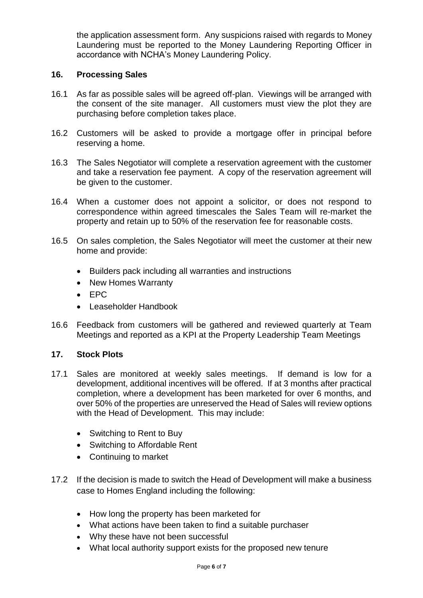the application assessment form. Any suspicions raised with regards to Money Laundering must be reported to the Money Laundering Reporting Officer in accordance with NCHA's Money Laundering Policy.

## **16. Processing Sales**

- 16.1 As far as possible sales will be agreed off-plan. Viewings will be arranged with the consent of the site manager. All customers must view the plot they are purchasing before completion takes place.
- 16.2 Customers will be asked to provide a mortgage offer in principal before reserving a home.
- 16.3 The Sales Negotiator will complete a reservation agreement with the customer and take a reservation fee payment. A copy of the reservation agreement will be given to the customer.
- 16.4 When a customer does not appoint a solicitor, or does not respond to correspondence within agreed timescales the Sales Team will re-market the property and retain up to 50% of the reservation fee for reasonable costs.
- 16.5 On sales completion, the Sales Negotiator will meet the customer at their new home and provide:
	- Builders pack including all warranties and instructions
	- New Homes Warranty
	- EPC
	- Leaseholder Handbook
- 16.6 Feedback from customers will be gathered and reviewed quarterly at Team Meetings and reported as a KPI at the Property Leadership Team Meetings

#### **17. Stock Plots**

- 17.1 Sales are monitored at weekly sales meetings. If demand is low for a development, additional incentives will be offered. If at 3 months after practical completion, where a development has been marketed for over 6 months, and over 50% of the properties are unreserved the Head of Sales will review options with the Head of Development. This may include:
	- Switching to Rent to Buy
	- Switching to Affordable Rent
	- Continuing to market
- 17.2 If the decision is made to switch the Head of Development will make a business case to Homes England including the following:
	- How long the property has been marketed for
	- What actions have been taken to find a suitable purchaser
	- Why these have not been successful
	- What local authority support exists for the proposed new tenure